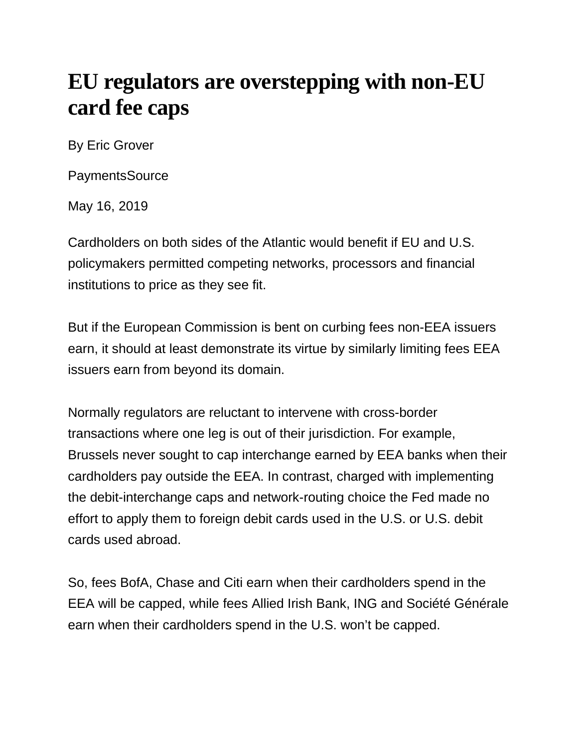## **EU regulators are overstepping with non-EU card fee caps**

By Eric Grover

**PaymentsSource** 

May 16, 2019

Cardholders on both sides of the Atlantic would benefit if EU and U.S. policymakers permitted competing networks, processors and financial institutions to price as they see fit.

But if the European Commission is bent on curbing fees non-EEA issuers earn, it should at least demonstrate its virtue by similarly limiting fees EEA issuers earn from beyond its domain.

Normally regulators are reluctant to intervene with cross-border transactions where one leg is out of their jurisdiction. For example, Brussels never sought to cap interchange earned by EEA banks when their cardholders pay outside the EEA. In contrast, charged with implementing the debit-interchange caps and network-routing choice the Fed made no effort to apply them to foreign debit cards used in the U.S. or U.S. debit cards used abroad.

So, fees BofA, Chase and Citi earn when their cardholders spend in the EEA will be capped, while fees Allied Irish Bank, ING and Société Générale earn when their cardholders spend in the U.S. won't be capped.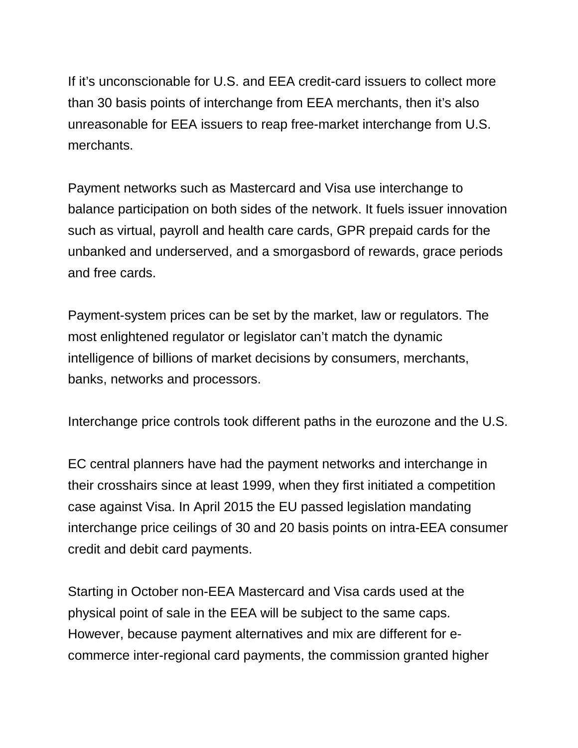If it's unconscionable for U.S. and EEA credit-card issuers to collect more than 30 basis points of interchange from EEA merchants, then it's also unreasonable for EEA issuers to reap free-market interchange from U.S. merchants.

Payment networks such as Mastercard and Visa use interchange to balance participation on both sides of the network. It fuels issuer innovation such as virtual, payroll and health care cards, GPR prepaid cards for the unbanked and underserved, and a smorgasbord of rewards, grace periods and free cards.

Payment-system prices can be set by the market, law or regulators. The most enlightened regulator or legislator can't match the dynamic intelligence of billions of market decisions by consumers, merchants, banks, networks and processors.

Interchange price controls took different paths in the eurozone and the U.S.

EC central planners have had the payment networks and interchange in their crosshairs since at least 1999, when they first initiated a competition case against Visa. In April 2015 the EU passed legislation mandating interchange price ceilings of 30 and 20 basis points on intra-EEA consumer credit and debit card payments.

Starting in October non-EEA Mastercard and Visa cards used at the physical point of sale in the EEA will be subject to the same caps. However, because payment alternatives and mix are different for ecommerce inter-regional card payments, the commission granted higher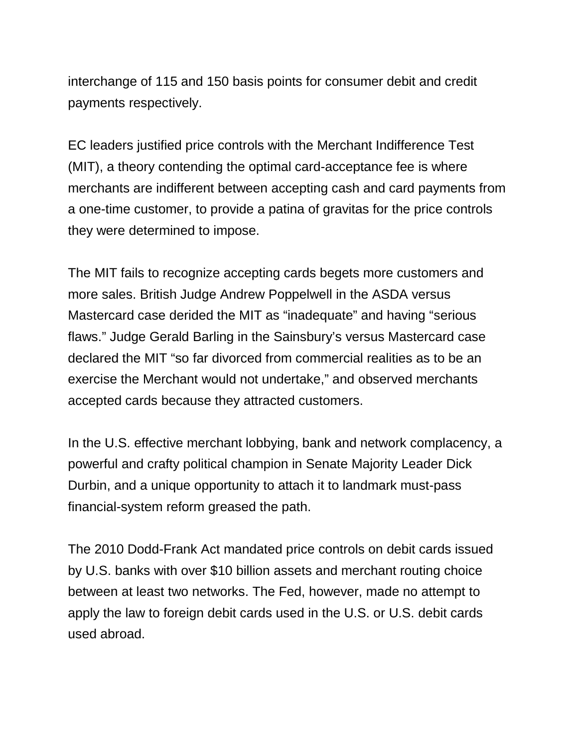interchange of 115 and 150 basis points for consumer debit and credit payments respectively.

EC leaders justified price controls with the Merchant Indifference Test (MIT), a theory contending the optimal card-acceptance fee is where merchants are indifferent between accepting cash and card payments from a one-time customer, to provide a patina of gravitas for the price controls they were determined to impose.

The MIT fails to recognize accepting cards begets more customers and more sales. British Judge Andrew Poppelwell in the ASDA versus Mastercard case derided the MIT as "inadequate" and having "serious flaws." Judge Gerald Barling in the Sainsbury's versus Mastercard case declared the MIT "so far divorced from commercial realities as to be an exercise the Merchant would not undertake," and observed merchants accepted cards because they attracted customers.

In the U.S. effective merchant lobbying, bank and network complacency, a powerful and crafty political champion in Senate Majority Leader Dick Durbin, and a unique opportunity to attach it to landmark must-pass financial-system reform greased the path.

The 2010 Dodd-Frank Act mandated price controls on debit cards issued by U.S. banks with over \$10 billion assets and merchant routing choice between at least two networks. The Fed, however, made no attempt to apply the law to foreign debit cards used in the U.S. or U.S. debit cards used abroad.